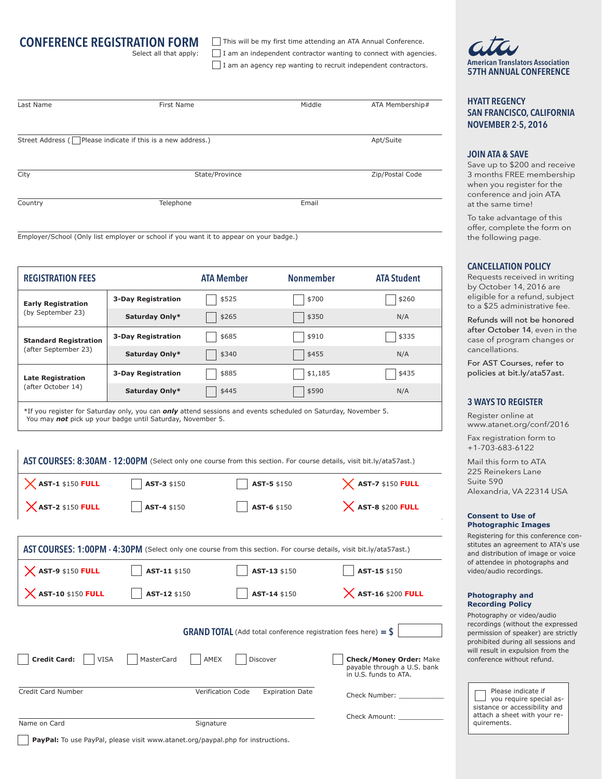# **CONFERENCE REGISTRATION FORM**

Select all that apply:

This will be my first time attending an ATA Annual Conference. I am an independent contractor wanting to connect with agencies.

I am an agency rep wanting to recruit independent contractors. **American Translators Association**

| Last Name | First Name                                                         | Middle    | ATA Membership# |
|-----------|--------------------------------------------------------------------|-----------|-----------------|
|           |                                                                    |           |                 |
|           | Street Address ( $\Box$ Please indicate if this is a new address.) | Apt/Suite |                 |
|           |                                                                    |           |                 |
| City      | State/Province                                                     |           | Zip/Postal Code |
|           | Telephone                                                          | Email     |                 |
| Country   |                                                                    |           |                 |

Employer/School (Only list employer or school if you want it to appear on your badge.)

| <b>REGISTRATION FEES</b>                             |                           | <b>ATA Member</b> | <b>Nonmember</b> | <b>ATA Student</b> |
|------------------------------------------------------|---------------------------|-------------------|------------------|--------------------|
| <b>Early Registration</b><br>(by September 23)       | <b>3-Day Registration</b> | \$525             | \$700            | \$260              |
|                                                      | Saturday Only*            | \$265             | \$350            | N/A                |
| <b>Standard Registration</b><br>(after September 23) | <b>3-Day Registration</b> | \$685             | \$910            | \$335              |
|                                                      | Saturday Only*            | \$340             | \$455            | N/A                |
| <b>Late Registration</b><br>(after October 14)       | <b>3-Day Registration</b> | \$885             | \$1,185          | \$435              |
|                                                      | Saturday Only*            | \$445             | \$590            | N/A                |

\*If you register for Saturday only, you can *only* attend sessions and events scheduled on Saturday, November 5. You may *not* pick up your badge until Saturday, November 5.

|                                    |              | AST COURSES: 8:30AM - 12:00PM (Select only one course from this section. For course details, visit bit.ly/ata57ast.) |                                                                                        |
|------------------------------------|--------------|----------------------------------------------------------------------------------------------------------------------|----------------------------------------------------------------------------------------|
| $X$ AST-1 \$150 FULL               | AST-3 \$150  | AST-5 \$150                                                                                                          | $\chi$ AST-7 \$150 FULL                                                                |
| $X$ AST-2 \$150 FULL               | AST-4 \$150  | AST-6 \$150                                                                                                          | $X$ AST-8 \$200 FULL                                                                   |
|                                    |              |                                                                                                                      |                                                                                        |
|                                    |              | AST COURSES: 1:00PM - 4:30PM (Select only one course from this section. For course details, visit bit.ly/ata57ast.)  |                                                                                        |
| $X$ AST-9 \$150 FULL               | AST-11 \$150 | AST-13 \$150                                                                                                         | AST-15 \$150                                                                           |
| $X$ AST-10 \$150 FULL              | AST-12 \$150 | AST-14 \$150                                                                                                         | $X$ AST-16 \$200 FULL                                                                  |
|                                    |              | <b>GRAND TOTAL</b> (Add total conference registration fees here) = $\frac{6}{5}$                                     |                                                                                        |
| <b>Credit Card:</b><br><b>VISA</b> | MasterCard   | AMEX<br>Discover                                                                                                     | <b>Check/Money Order: Make</b><br>payable through a U.S. bank<br>in U.S. funds to ATA. |
| Credit Card Number                 |              | Verification Code<br><b>Expiration Date</b>                                                                          | Check Number:                                                                          |
|                                    |              |                                                                                                                      | Check Amount:                                                                          |
| Name on Card                       | Signature    |                                                                                                                      |                                                                                        |

**57TH ANNUAL CONFERENCE**

**HYATT REGENCY SAN FRANCISCO, CALIFORNIA NOVEMBER 2-5, 2016**

#### **JOIN ATA & SAVE**

Save up to \$200 and receive 3 months FREE membership when you register for the conference and join ATA at the same time!

To take advantage of this offer, complete the form on the following page.

#### **CANCELLATION POLICY**

Requests received in writing by October 14, 2016 are eligible for a refund, subject to a \$25 administrative fee.

Refunds will not be honored after October 14, even in the case of program changes or cancellations.

For AST Courses, refer to policies at bit.ly/ata57ast.

### **3 WAYS TO REGISTER**

Register online at www.atanet.org/conf/2016

Fax registration form to +1-703-683-6122

Mail this form to ATA 225 Reinekers Lane Suite 590 Alexandria, VA 22314 USA

#### **Consent to Use of Photographic Images**

Registering for this conference constitutes an agreement to ATA's use and distribution of image or voice of attendee in photographs and video/audio recordings.

#### **Photography and Recording Policy**

Photography or video/audio recordings (without the expressed permission of speaker) are strictly prohibited during all sessions and will result in expulsion from the conference without refund.

 Please indicate if you require special assistance or accessibility and attach a sheet with your requirements.

**PayPal:** To use PayPal, please visit www.atanet.org/paypal.php for instructions.